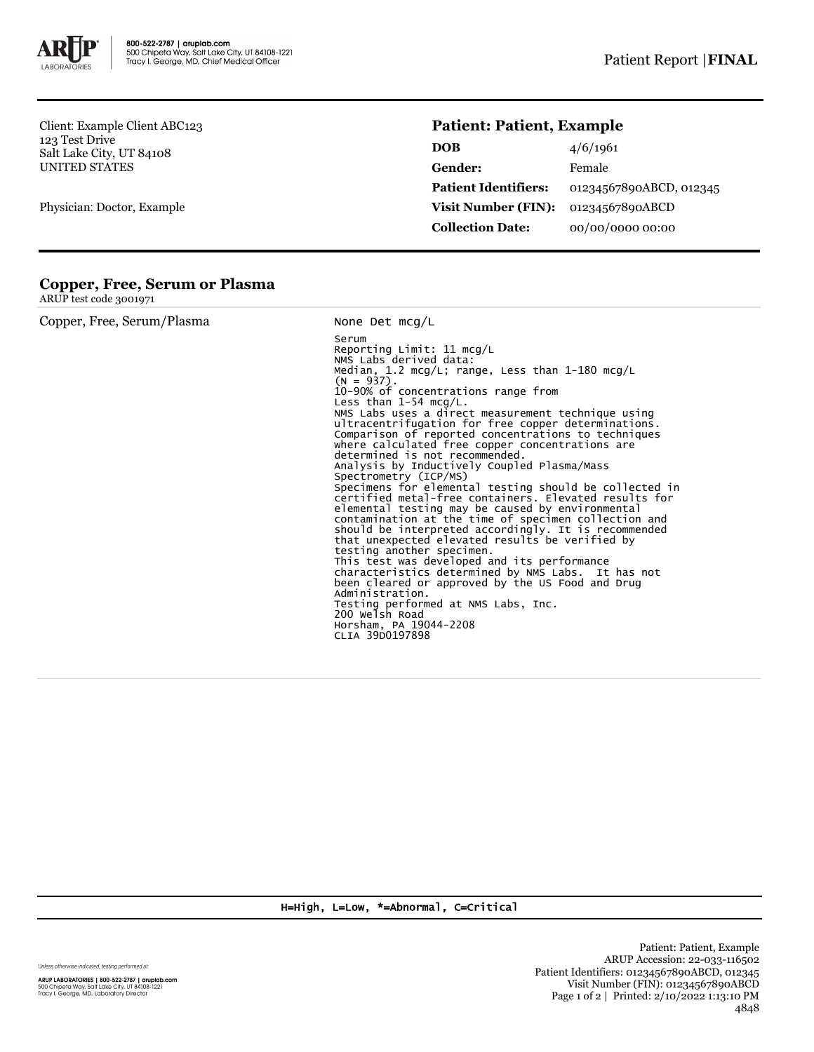

Client: Example Client ABC123 123 Test Drive Salt Lake City, UT 84108 UNITED STATES

Physician: Doctor, Example

## **Patient: Patient, Example**

| <b>DOB</b>                  | 4/6/1961                |
|-----------------------------|-------------------------|
| Gender:                     | Female                  |
| <b>Patient Identifiers:</b> | 01234567890ABCD, 012345 |
| <b>Visit Number (FIN):</b>  | 01234567890ABCD         |
| <b>Collection Date:</b>     | 00/00/0000 00:00        |

## **Copper, Free, Serum or Plasma**

ARUP test code 3001971

| Copper, Free, Serum/Plasma | None Det $mcq/L$                                                                                                                                                                                                                                                                                                                                                                                                                                                                                                                                                                                                                                                                                                                                                                                                                                                                                                                                                                                                                                                                                                                                                                                     |
|----------------------------|------------------------------------------------------------------------------------------------------------------------------------------------------------------------------------------------------------------------------------------------------------------------------------------------------------------------------------------------------------------------------------------------------------------------------------------------------------------------------------------------------------------------------------------------------------------------------------------------------------------------------------------------------------------------------------------------------------------------------------------------------------------------------------------------------------------------------------------------------------------------------------------------------------------------------------------------------------------------------------------------------------------------------------------------------------------------------------------------------------------------------------------------------------------------------------------------------|
|                            | Serum<br>Reporting Limit: $11 \text{ mcq/L}$<br>NMS Labs derived data:<br>Median, 1.2 mcg/L; range, Less than 1-180 mcg/L<br>$(N = 937)$ .<br>10-90% of concentrations range from<br>Less than 1-54 mcg/L.<br>NMS Labs uses a direct measurement technique using<br>ultracentrifugation for free copper determinations.<br>Comparison of reported concentrations to techniques<br>where calculated free copper concentrations are<br>determined is not recommended.<br>Analysis by Inductively Coupled Plasma/Mass<br>Spectrometry (ICP/MS)<br>Specimens for elemental testing should be collected in<br>certified metal-free containers. Elevated results for<br>elemental testing may be caused by environmental<br>contamination at the time of specimen collection and<br>should be interpreted accordingly. It is recommended<br>that unexpected elevated results be verified by<br>testing another specimen.<br>This test was developed and its performance<br>characteristics determined by NMS Labs. It has not<br>been cleared or approved by the US Food and Drug<br>Administration.<br>Testing performed at NMS Labs, Inc.<br>200 Welsh Road<br>Horsham, PA 19044-2208<br>CLIA 39D0197898 |

H=High, L=Low, \*=Abnormal, C=Critical

Unless otherwise indicated, testing performed at:

**ARUP LABORATORIES | 800-522-2787 | aruplab.com**<br>500 Chipeta Way, Salt Lake City, UT 84108-1221<br>Tracy I. George, MD, Laboratory Director

Patient: Patient, Example ARUP Accession: 22-033-116502 Patient Identifiers: 01234567890ABCD, 012345 Visit Number (FIN): 01234567890ABCD Page 1 of 2 | Printed: 2/10/2022 1:13:10 PM 4848